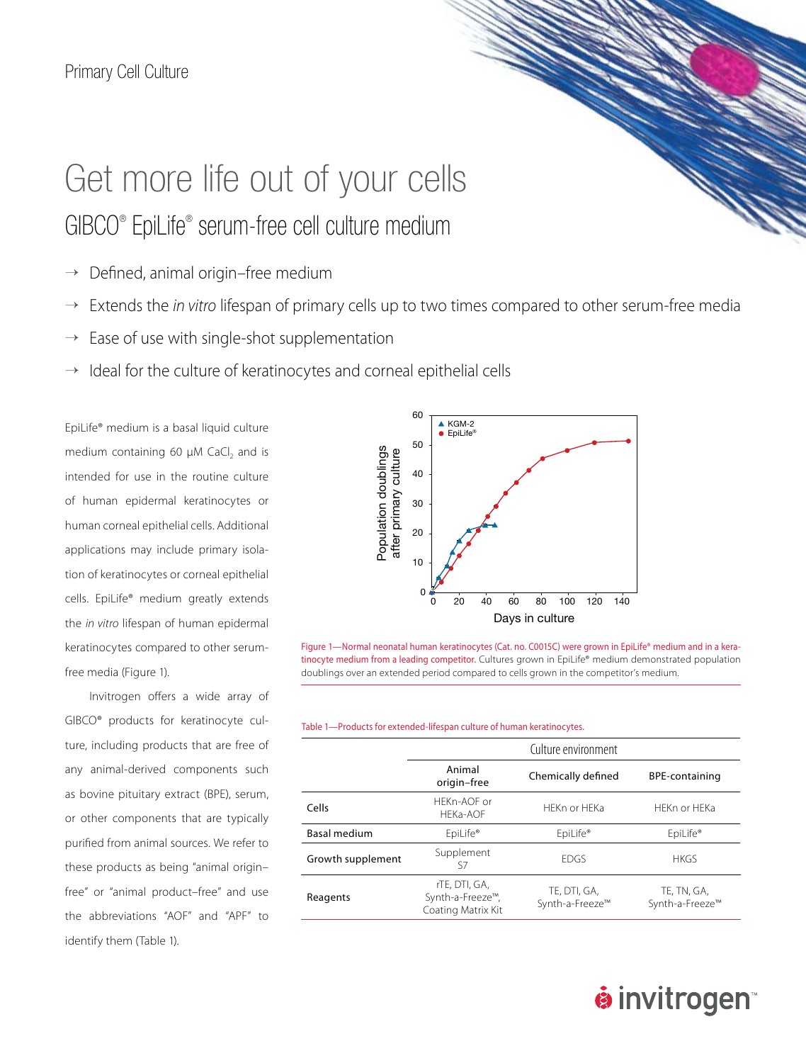## Get more life out of your cells GIBCO® EpiLife® serum-free cell culture medium

- $\rightarrow$  Defined, animal origin–free medium
- → Extends the *in vitro* lifespan of primary cells up to two times compared to other serum-free media
- $\rightarrow$  Ease of use with single-shot supplementation
- $\rightarrow$  Ideal for the culture of keratinocytes and corneal epithelial cells

EpiLife® medium is a basal liquid culture medium containing 60 μM CaCl<sub>2</sub> and is intended for use in the routine culture of human epidermal keratinocytes or human corneal epithelial cells. Additional applications may include primary isolation of keratinocytes or corneal epithelial cells. EpiLife® medium greatly extends the *in vitro* lifespan of human epidermal keratinocytes compared to other serumfree media (Figure 1).

Invitrogen offers a wide array of GIBCO® products for keratinocyte culture, including products that are free of any animal-derived components such as bovine pituitary extract (BPE), serum, or other components that are typically purified from animal sources. We refer to these products as being "animal origin– free" or "animal product–free" and use the abbreviations "AOF" and "APF" to identify them (Table 1).



Figure 1—Normal neonatal human keratinocytes (Cat. no. C0015C) were grown in EpiLife® medium and in a keratinocyte medium from a leading competitor. Cultures grown in EpiLife® medium demonstrated population doublings over an extended period compared to cells grown in the competitor's medium.

Table 1—Products for extended-lifespan culture of human keratinocytes.

|                     | Culture environment                                     |                                 |                                |
|---------------------|---------------------------------------------------------|---------------------------------|--------------------------------|
|                     | Animal<br>origin-free                                   | Chemically defined              | BPE-containing                 |
| Cells               | HEKn-AOF or<br>HEKa-AOF                                 | HFKn or HFKa                    | HFKn or HFKa                   |
| <b>Basal medium</b> | EpiLife®                                                | EpiLife®                        | EpiLife®                       |
| Growth supplement   | Supplement<br>S7                                        | <b>FDGS</b>                     | <b>HKGS</b>                    |
| Reagents            | rTE, DTI, GA,<br>Synth-a-Freeze™,<br>Coating Matrix Kit | TE, DTI, GA,<br>Synth-a-Freeze™ | TE, TN, GA,<br>Synth-a-Freeze™ |